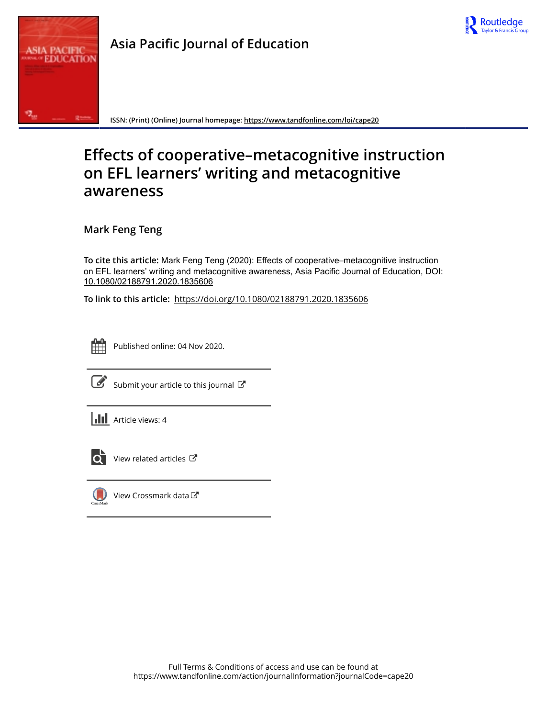



**Asia Pacific Journal of Education**

**ISSN: (Print) (Online) Journal homepage:<https://www.tandfonline.com/loi/cape20>**

# **Effects of cooperative–metacognitive instruction on EFL learners' writing and metacognitive awareness**

**Mark Feng Teng**

**To cite this article:** Mark Feng Teng (2020): Effects of cooperative–metacognitive instruction on EFL learners' writing and metacognitive awareness, Asia Pacific Journal of Education, DOI: [10.1080/02188791.2020.1835606](https://www.tandfonline.com/action/showCitFormats?doi=10.1080/02188791.2020.1835606)

**To link to this article:** <https://doi.org/10.1080/02188791.2020.1835606>



Published online: 04 Nov 2020.



 $\overrightarrow{S}$  [Submit your article to this journal](https://www.tandfonline.com/action/authorSubmission?journalCode=cape20&show=instructions)  $\overrightarrow{S}$ 





 $\overline{\mathbf{C}}$  [View related articles](https://www.tandfonline.com/doi/mlt/10.1080/02188791.2020.1835606)  $\mathbf{C}$ 



[View Crossmark data](http://crossmark.crossref.org/dialog/?doi=10.1080/02188791.2020.1835606&domain=pdf&date_stamp=2020-11-04) $\bm{\mathcal{C}}$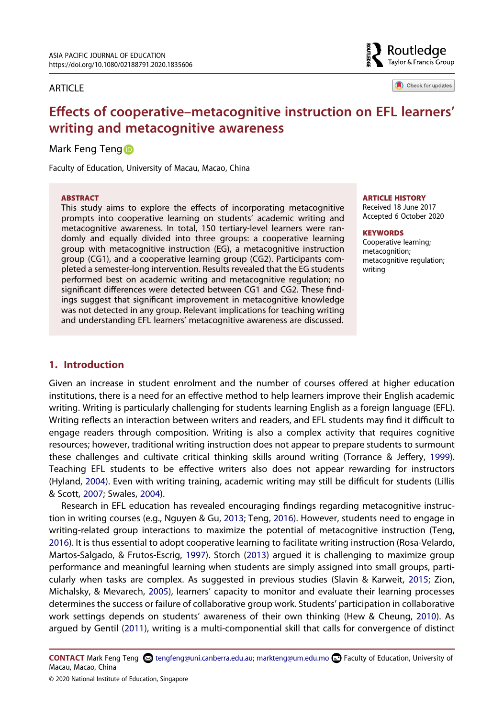# ARTICLE

Routledae Taylor & Francis Group

Check for updates

# **Effects of cooperative–metacognitive instruction on EFL learners' writing and metacognitive awareness**

# Mark Feng Teng iD

Faculty of Education, University of Macau, Macao, China

#### **ABSTRACT**

This study aims to explore the effects of incorporating metacognitive prompts into cooperative learning on students' academic writing and metacognitive awareness. In total, 150 tertiary-level learners were randomly and equally divided into three groups: a cooperative learning group with metacognitive instruction (EG), a metacognitive instruction group (CG1), and a cooperative learning group (CG2). Participants completed a semester-long intervention. Results revealed that the EG students performed best on academic writing and metacognitive regulation; no significant differences were detected between CG1 and CG2. These findings suggest that significant improvement in metacognitive knowledge was not detected in any group. Relevant implications for teaching writing and understanding EFL learners' metacognitive awareness are discussed.

#### **ARTICLE HISTORY**

Received 18 June 2017 Accepted 6 October 2020

#### **KEYWORDS**

Cooperative learning; metacognition; metacognitive regulation; writing

# **1. Introduction**

Given an increase in student enrolment and the number of courses offered at higher education institutions, there is a need for an effective method to help learners improve their English academic writing. Writing is particularly challenging for students learning English as a foreign language (EFL). Writing reflects an interaction between writers and readers, and EFL students may find it difficult to engage readers through composition. Writing is also a complex activity that requires cognitive resources; however, traditional writing instruction does not appear to prepare students to surmount these challenges and cultivate critical thinking skills around writing (Torrance & Jeffery, [1999\)](#page-17-0). Teaching EFL students to be effective writers also does not appear rewarding for instructors (Hyland, [2004](#page-16-0)). Even with writing training, academic writing may still be difficult for students (Lillis & Scott, [2007;](#page-16-1) Swales, [2004\)](#page-17-1).

<span id="page-1-8"></span><span id="page-1-7"></span><span id="page-1-6"></span><span id="page-1-5"></span><span id="page-1-4"></span><span id="page-1-3"></span><span id="page-1-2"></span>Research in EFL education has revealed encouraging findings regarding metacognitive instruction in writing courses (e.g., Nguyen & Gu, [2013;](#page-16-2) Teng, [2016](#page-17-2)). However, students need to engage in writing-related group interactions to maximize the potential of metacognitive instruction (Teng, [2016\)](#page-17-2). It is thus essential to adopt cooperative learning to facilitate writing instruction (Rosa-Velardo, Martos-Salgado, & Frutos-Escrig, [1997](#page-16-3)). Storch [\(2013\)](#page-17-3) argued it is challenging to maximize group performance and meaningful learning when students are simply assigned into small groups, particularly when tasks are complex. As suggested in previous studies (Slavin & Karweit, [2015](#page-16-4); Zion, Michalsky, & Mevarech, [2005\)](#page-17-4), learners' capacity to monitor and evaluate their learning processes determines the success or failure of collaborative group work. Students' participation in collaborative work settings depends on students' awareness of their own thinking (Hew & Cheung, [2010](#page-16-5)). As argued by Gentil ([2011](#page-15-0)), writing is a multi-componential skill that calls for convergence of distinct

<span id="page-1-9"></span><span id="page-1-1"></span><span id="page-1-0"></span>**CONTACT** Mark Feng Teng **s** tengfeng@uni.canberra.edu.au; markteng@um.edu.mo **Faculty of Education**, University of Macau, Macao, China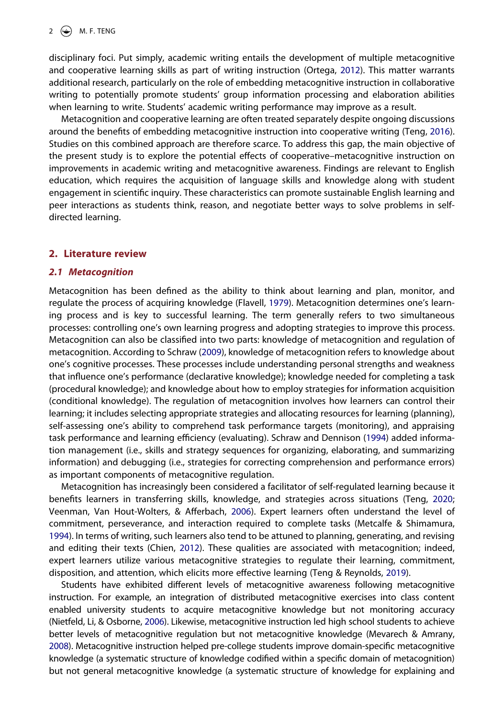<span id="page-2-5"></span>disciplinary foci. Put simply, academic writing entails the development of multiple metacognitive and cooperative learning skills as part of writing instruction (Ortega, [2012\)](#page-16-6). This matter warrants additional research, particularly on the role of embedding metacognitive instruction in collaborative writing to potentially promote students' group information processing and elaboration abilities when learning to write. Students' academic writing performance may improve as a result.

Metacognition and cooperative learning are often treated separately despite ongoing discussions around the benefits of embedding metacognitive instruction into cooperative writing (Teng, [2016\)](#page-17-2). Studies on this combined approach are therefore scarce. To address this gap, the main objective of the present study is to explore the potential effects of cooperative–metacognitive instruction on improvements in academic writing and metacognitive awareness. Findings are relevant to English education, which requires the acquisition of language skills and knowledge along with student engagement in scientific inquiry. These characteristics can promote sustainable English learning and peer interactions as students think, reason, and negotiate better ways to solve problems in selfdirected learning.

# **2. Literature review**

## *2.1 Metacognition*

<span id="page-2-6"></span><span id="page-2-1"></span>Metacognition has been defined as the ability to think about learning and plan, monitor, and regulate the process of acquiring knowledge (Flavell, [1979\)](#page-15-1). Metacognition determines one's learning process and is key to successful learning. The term generally refers to two simultaneous processes: controlling one's own learning progress and adopting strategies to improve this process. Metacognition can also be classified into two parts: knowledge of metacognition and regulation of metacognition. According to Schraw [\(2009\)](#page-16-7), knowledge of metacognition refers to knowledge about one's cognitive processes. These processes include understanding personal strengths and weakness that influence one's performance (declarative knowledge); knowledge needed for completing a task (procedural knowledge); and knowledge about how to employ strategies for information acquisition (conditional knowledge). The regulation of metacognition involves how learners can control their learning; it includes selecting appropriate strategies and allocating resources for learning (planning), self-assessing one's ability to comprehend task performance targets (monitoring), and appraising task performance and learning efficiency (evaluating). Schraw and Dennison [\(1994\)](#page-16-8) added information management (i.e., skills and strategy sequences for organizing, elaborating, and summarizing information) and debugging (i.e., strategies for correcting comprehension and performance errors) as important components of metacognitive regulation.

<span id="page-2-10"></span><span id="page-2-8"></span><span id="page-2-7"></span><span id="page-2-2"></span>Metacognition has increasingly been considered a facilitator of self-regulated learning because it benefits learners in transferring skills, knowledge, and strategies across situations (Teng, [2020](#page-17-5); Veenman, Van Hout-Wolters, & Afferbach, [2006\)](#page-17-6). Expert learners often understand the level of commitment, perseverance, and interaction required to complete tasks (Metcalfe & Shimamura, [1994\)](#page-16-9). In terms of writing, such learners also tend to be attuned to planning, generating, and revising and editing their texts (Chien, [2012](#page-15-2)). These qualities are associated with metacognition; indeed, expert learners utilize various metacognitive strategies to regulate their learning, commitment, disposition, and attention, which elicits more effective learning (Teng & Reynolds, [2019\)](#page-17-7).

<span id="page-2-9"></span><span id="page-2-4"></span><span id="page-2-3"></span><span id="page-2-0"></span>Students have exhibited different levels of metacognitive awareness following metacognitive instruction. For example, an integration of distributed metacognitive exercises into class content enabled university students to acquire metacognitive knowledge but not monitoring accuracy (Nietfeld, Li, & Osborne, [2006\)](#page-16-10). Likewise, metacognitive instruction led high school students to achieve better levels of metacognitive regulation but not metacognitive knowledge (Mevarech & Amrany, [2008](#page-16-11)). Metacognitive instruction helped pre-college students improve domain-specific metacognitive knowledge (a systematic structure of knowledge codified within a specific domain of metacognition) but not general metacognitive knowledge (a systematic structure of knowledge for explaining and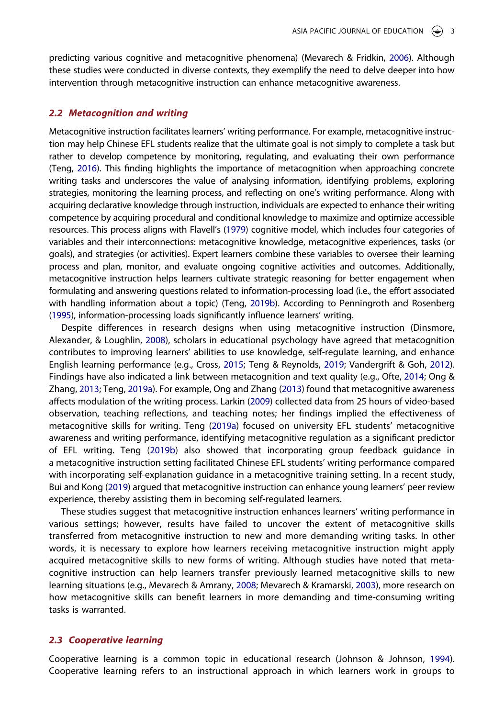<span id="page-3-5"></span>predicting various cognitive and metacognitive phenomena) (Mevarech & Fridkin, [2006](#page-16-12)). Although these studies were conducted in diverse contexts, they exemplify the need to delve deeper into how intervention through metacognitive instruction can enhance metacognitive awareness.

#### *2.2 Metacognition and writing*

Metacognitive instruction facilitates learners' writing performance. For example, metacognitive instruction may help Chinese EFL students realize that the ultimate goal is not simply to complete a task but rather to develop competence by monitoring, regulating, and evaluating their own performance (Teng, [2016\)](#page-17-2). This finding highlights the importance of metacognition when approaching concrete writing tasks and underscores the value of analysing information, identifying problems, exploring strategies, monitoring the learning process, and reflecting on one's writing performance. Along with acquiring declarative knowledge through instruction, individuals are expected to enhance their writing competence by acquiring procedural and conditional knowledge to maximize and optimize accessible resources. This process aligns with Flavell's [\(1979](#page-15-1)) cognitive model, which includes four categories of variables and their interconnections: metacognitive knowledge, metacognitive experiences, tasks (or goals), and strategies (or activities). Expert learners combine these variables to oversee their learning process and plan, monitor, and evaluate ongoing cognitive activities and outcomes. Additionally, metacognitive instruction helps learners cultivate strategic reasoning for better engagement when formulating and answering questions related to information-processing load (i.e., the effort associated with handling information about a topic) (Teng, [2019b](#page-17-8)). According to Penningroth and Rosenberg ([1995\)](#page-16-13), information-processing loads significantly influence learners' writing.

<span id="page-3-9"></span><span id="page-3-8"></span><span id="page-3-7"></span><span id="page-3-4"></span><span id="page-3-2"></span><span id="page-3-1"></span>Despite differences in research designs when using metacognitive instruction (Dinsmore, Alexander, & Loughlin, [2008\)](#page-15-3), scholars in educational psychology have agreed that metacognition contributes to improving learners' abilities to use knowledge, self-regulate learning, and enhance English learning performance (e.g., Cross, [2015](#page-15-4); Teng & Reynolds, [2019;](#page-17-7) Vandergrift & Goh, [2012\)](#page-17-9). Findings have also indicated a link between metacognition and text quality (e.g., Ofte, [2014](#page-16-14); Ong & Zhang, [2013](#page-16-15); Teng, [2019a](#page-17-10)). For example, Ong and Zhang ([2013](#page-16-15)) found that metacognitive awareness affects modulation of the writing process. Larkin ([2009](#page-16-16)) collected data from 25 hours of video-based observation, teaching reflections, and teaching notes; her findings implied the effectiveness of metacognitive skills for writing. Teng [\(2019a](#page-17-10)) focused on university EFL students' metacognitive awareness and writing performance, identifying metacognitive regulation as a significant predictor of EFL writing. Teng ([2019b\)](#page-17-8) also showed that incorporating group feedback guidance in a metacognitive instruction setting facilitated Chinese EFL students' writing performance compared with incorporating self-explanation guidance in a metacognitive training setting. In a recent study, Bui and Kong ([2019](#page-15-5)) argued that metacognitive instruction can enhance young learners' peer review experience, thereby assisting them in becoming self-regulated learners.

<span id="page-3-11"></span><span id="page-3-10"></span><span id="page-3-0"></span>These studies suggest that metacognitive instruction enhances learners' writing performance in various settings; however, results have failed to uncover the extent of metacognitive skills transferred from metacognitive instruction to new and more demanding writing tasks. In other words, it is necessary to explore how learners receiving metacognitive instruction might apply acquired metacognitive skills to new forms of writing. Although studies have noted that metacognitive instruction can help learners transfer previously learned metacognitive skills to new learning situations (e.g., Mevarech & Amrany, [2008;](#page-16-11) Mevarech & Kramarski, [2003\)](#page-16-17), more research on how metacognitive skills can benefit learners in more demanding and time-consuming writing tasks is warranted.

# <span id="page-3-6"></span>*2.3 Cooperative learning*

<span id="page-3-3"></span>Cooperative learning is a common topic in educational research (Johnson & Johnson, [1994\)](#page-16-18). Cooperative learning refers to an instructional approach in which learners work in groups to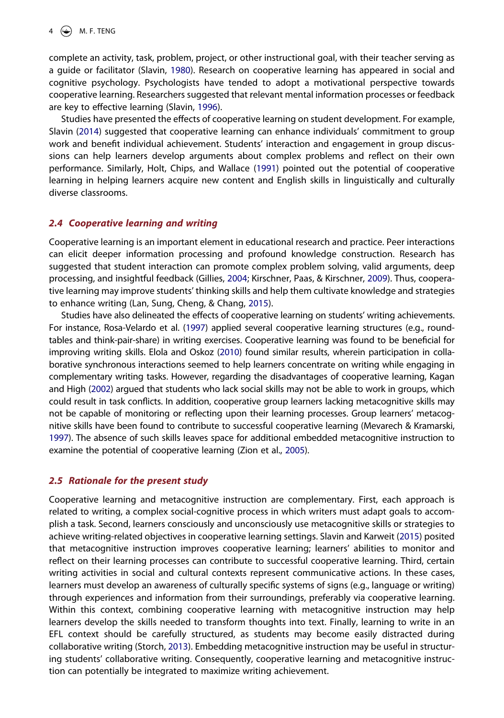<span id="page-4-6"></span>complete an activity, task, problem, project, or other instructional goal, with their teacher serving as a guide or facilitator (Slavin, [1980](#page-16-19)). Research on cooperative learning has appeared in social and cognitive psychology. Psychologists have tended to adopt a motivational perspective towards cooperative learning. Researchers suggested that relevant mental information processes or feedback are key to effective learning (Slavin, [1996\)](#page-16-20).

<span id="page-4-8"></span><span id="page-4-7"></span><span id="page-4-2"></span>Studies have presented the effects of cooperative learning on student development. For example, Slavin [\(2014\)](#page-16-21) suggested that cooperative learning can enhance individuals' commitment to group work and benefit individual achievement. Students' interaction and engagement in group discussions can help learners develop arguments about complex problems and reflect on their own performance. Similarly, Holt, Chips, and Wallace [\(1991](#page-16-22)) pointed out the potential of cooperative learning in helping learners acquire new content and English skills in linguistically and culturally diverse classrooms.

# *2.4 Cooperative learning and writing*

<span id="page-4-1"></span>Cooperative learning is an important element in educational research and practice. Peer interactions can elicit deeper information processing and profound knowledge construction. Research has suggested that student interaction can promote complex problem solving, valid arguments, deep processing, and insightful feedback (Gillies, [2004](#page-16-23); Kirschner, Paas, & Kirschner, [2009](#page-16-24)). Thus, cooperative learning may improve students' thinking skills and help them cultivate knowledge and strategies to enhance writing (Lan, Sung, Cheng, & Chang, [2015\)](#page-16-25).

<span id="page-4-4"></span><span id="page-4-3"></span><span id="page-4-0"></span>Studies have also delineated the effects of cooperative learning on students' writing achievements. For instance, Rosa-Velardo et al. ([1997\)](#page-16-3) applied several cooperative learning structures (e.g., roundtables and think-pair-share) in writing exercises. Cooperative learning was found to be beneficial for improving writing skills. Elola and Oskoz [\(2010](#page-15-6)) found similar results, wherein participation in collaborative synchronous interactions seemed to help learners concentrate on writing while engaging in complementary writing tasks. However, regarding the disadvantages of cooperative learning, Kagan and High [\(2002](#page-16-26)) argued that students who lack social skills may not be able to work in groups, which could result in task conflicts. In addition, cooperative group learners lacking metacognitive skills may not be capable of monitoring or reflecting upon their learning processes. Group learners' metacognitive skills have been found to contribute to successful cooperative learning (Mevarech & Kramarski, [1997](#page-16-27)). The absence of such skills leaves space for additional embedded metacognitive instruction to examine the potential of cooperative learning (Zion et al., [2005](#page-17-4)).

# <span id="page-4-5"></span>*2.5 Rationale for the present study*

Cooperative learning and metacognitive instruction are complementary. First, each approach is related to writing, a complex social-cognitive process in which writers must adapt goals to accomplish a task. Second, learners consciously and unconsciously use metacognitive skills or strategies to achieve writing-related objectives in cooperative learning settings. Slavin and Karweit [\(2015\)](#page-16-4) posited that metacognitive instruction improves cooperative learning; learners' abilities to monitor and reflect on their learning processes can contribute to successful cooperative learning. Third, certain writing activities in social and cultural contexts represent communicative actions. In these cases, learners must develop an awareness of culturally specific systems of signs (e.g., language or writing) through experiences and information from their surroundings, preferably via cooperative learning. Within this context, combining cooperative learning with metacognitive instruction may help learners develop the skills needed to transform thoughts into text. Finally, learning to write in an EFL context should be carefully structured, as students may become easily distracted during collaborative writing (Storch, [2013](#page-17-3)). Embedding metacognitive instruction may be useful in structuring students' collaborative writing. Consequently, cooperative learning and metacognitive instruction can potentially be integrated to maximize writing achievement.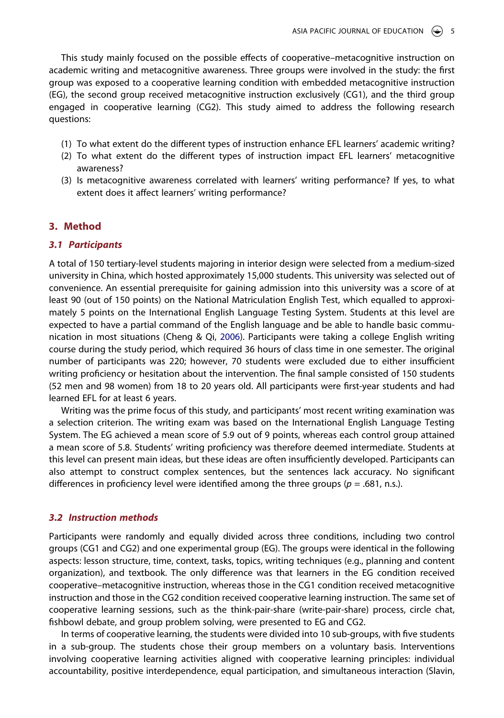This study mainly focused on the possible effects of cooperative–metacognitive instruction on academic writing and metacognitive awareness. Three groups were involved in the study: the first group was exposed to a cooperative learning condition with embedded metacognitive instruction (EG), the second group received metacognitive instruction exclusively (CG1), and the third group engaged in cooperative learning (CG2). This study aimed to address the following research questions:

- (1) To what extent do the different types of instruction enhance EFL learners' academic writing?
- (2) To what extent do the different types of instruction impact EFL learners' metacognitive awareness?
- (3) Is metacognitive awareness correlated with learners' writing performance? If yes, to what extent does it affect learners' writing performance?

# **3. Method**

# *3.1 Participants*

<span id="page-5-0"></span>A total of 150 tertiary-level students majoring in interior design were selected from a medium-sized university in China, which hosted approximately 15,000 students. This university was selected out of convenience. An essential prerequisite for gaining admission into this university was a score of at least 90 (out of 150 points) on the National Matriculation English Test, which equalled to approximately 5 points on the International English Language Testing System. Students at this level are expected to have a partial command of the English language and be able to handle basic communication in most situations (Cheng & Qi, [2006\)](#page-15-7). Participants were taking a college English writing course during the study period, which required 36 hours of class time in one semester. The original number of participants was 220; however, 70 students were excluded due to either insufficient writing proficiency or hesitation about the intervention. The final sample consisted of 150 students (52 men and 98 women) from 18 to 20 years old. All participants were first-year students and had learned EFL for at least 6 years.

Writing was the prime focus of this study, and participants' most recent writing examination was a selection criterion. The writing exam was based on the International English Language Testing System. The EG achieved a mean score of 5.9 out of 9 points, whereas each control group attained a mean score of 5.8. Students' writing proficiency was therefore deemed intermediate. Students at this level can present main ideas, but these ideas are often insufficiently developed. Participants can also attempt to construct complex sentences, but the sentences lack accuracy. No significant differences in proficiency level were identified among the three groups (*p* = .681, n.s.).

# *3.2 Instruction methods*

Participants were randomly and equally divided across three conditions, including two control groups (CG1 and CG2) and one experimental group (EG). The groups were identical in the following aspects: lesson structure, time, context, tasks, topics, writing techniques (e.g., planning and content organization), and textbook. The only difference was that learners in the EG condition received cooperative–metacognitive instruction, whereas those in the CG1 condition received metacognitive instruction and those in the CG2 condition received cooperative learning instruction. The same set of cooperative learning sessions, such as the think-pair-share (write-pair-share) process, circle chat, fishbowl debate, and group problem solving, were presented to EG and CG2.

In terms of cooperative learning, the students were divided into 10 sub-groups, with five students in a sub-group. The students chose their group members on a voluntary basis. Interventions involving cooperative learning activities aligned with cooperative learning principles: individual accountability, positive interdependence, equal participation, and simultaneous interaction (Slavin,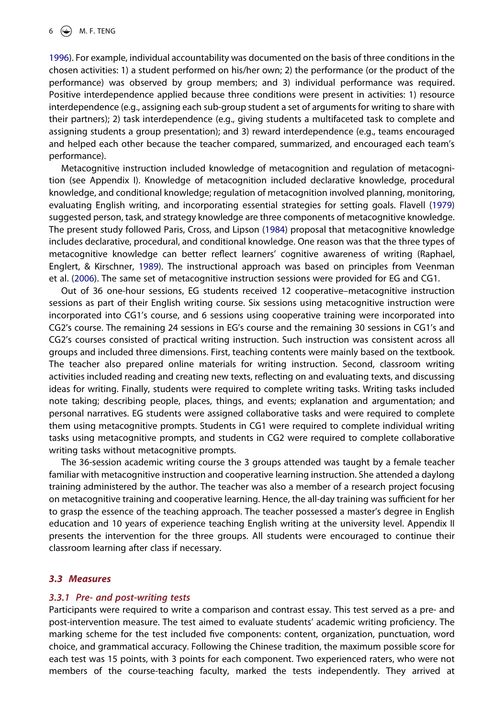[1996\)](#page-16-20). For example, individual accountability was documented on the basis of three conditions in the chosen activities: 1) a student performed on his/her own; 2) the performance (or the product of the performance) was observed by group members; and 3) individual performance was required. Positive interdependence applied because three conditions were present in activities: 1) resource interdependence (e.g., assigning each sub-group student a set of arguments for writing to share with their partners); 2) task interdependence (e.g., giving students a multifaceted task to complete and assigning students a group presentation); and 3) reward interdependence (e.g., teams encouraged and helped each other because the teacher compared, summarized, and encouraged each team's performance).

<span id="page-6-0"></span>Metacognitive instruction included knowledge of metacognition and regulation of metacognition (see Appendix I). Knowledge of metacognition included declarative knowledge, procedural knowledge, and conditional knowledge; regulation of metacognition involved planning, monitoring, evaluating English writing, and incorporating essential strategies for setting goals. Flavell [\(1979\)](#page-15-1) suggested person, task, and strategy knowledge are three components of metacognitive knowledge. The present study followed Paris, Cross, and Lipson [\(1984](#page-16-28)) proposal that metacognitive knowledge includes declarative, procedural, and conditional knowledge. One reason was that the three types of metacognitive knowledge can better reflect learners' cognitive awareness of writing (Raphael, Englert, & Kirschner, [1989](#page-16-29)). The instructional approach was based on principles from Veenman et al. ([2006](#page-17-6)). The same set of metacognitive instruction sessions were provided for EG and CG1.

<span id="page-6-1"></span>Out of 36 one-hour sessions, EG students received 12 cooperative–metacognitive instruction sessions as part of their English writing course. Six sessions using metacognitive instruction were incorporated into CG1's course, and 6 sessions using cooperative training were incorporated into CG2's course. The remaining 24 sessions in EG's course and the remaining 30 sessions in CG1's and CG2's courses consisted of practical writing instruction. Such instruction was consistent across all groups and included three dimensions. First, teaching contents were mainly based on the textbook. The teacher also prepared online materials for writing instruction. Second, classroom writing activities included reading and creating new texts, reflecting on and evaluating texts, and discussing ideas for writing. Finally, students were required to complete writing tasks. Writing tasks included note taking; describing people, places, things, and events; explanation and argumentation; and personal narratives. EG students were assigned collaborative tasks and were required to complete them using metacognitive prompts. Students in CG1 were required to complete individual writing tasks using metacognitive prompts, and students in CG2 were required to complete collaborative writing tasks without metacognitive prompts.

The 36-session academic writing course the 3 groups attended was taught by a female teacher familiar with metacognitive instruction and cooperative learning instruction. She attended a daylong training administered by the author. The teacher was also a member of a research project focusing on metacognitive training and cooperative learning. Hence, the all-day training was sufficient for her to grasp the essence of the teaching approach. The teacher possessed a master's degree in English education and 10 years of experience teaching English writing at the university level. Appendix II presents the intervention for the three groups. All students were encouraged to continue their classroom learning after class if necessary.

# *3.3 Measures*

#### *3.3.1 Pre- and post-writing tests*

Participants were required to write a comparison and contrast essay. This test served as a pre- and post-intervention measure. The test aimed to evaluate students' academic writing proficiency. The marking scheme for the test included five components: content, organization, punctuation, word choice, and grammatical accuracy. Following the Chinese tradition, the maximum possible score for each test was 15 points, with 3 points for each component. Two experienced raters, who were not members of the course-teaching faculty, marked the tests independently. They arrived at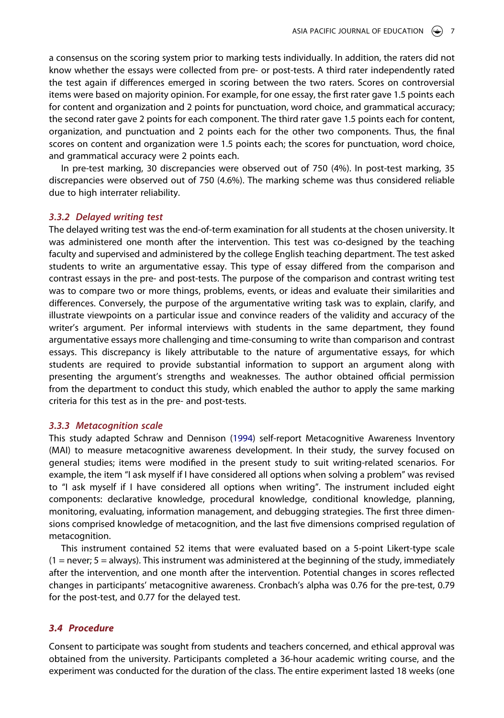a consensus on the scoring system prior to marking tests individually. In addition, the raters did not know whether the essays were collected from pre- or post-tests. A third rater independently rated the test again if differences emerged in scoring between the two raters. Scores on controversial items were based on majority opinion. For example, for one essay, the first rater gave 1.5 points each for content and organization and 2 points for punctuation, word choice, and grammatical accuracy; the second rater gave 2 points for each component. The third rater gave 1.5 points each for content, organization, and punctuation and 2 points each for the other two components. Thus, the final scores on content and organization were 1.5 points each; the scores for punctuation, word choice, and grammatical accuracy were 2 points each.

In pre-test marking, 30 discrepancies were observed out of 750 (4%). In post-test marking, 35 discrepancies were observed out of 750 (4.6%). The marking scheme was thus considered reliable due to high interrater reliability.

# *3.3.2 Delayed writing test*

The delayed writing test was the end-of-term examination for all students at the chosen university. It was administered one month after the intervention. This test was co-designed by the teaching faculty and supervised and administered by the college English teaching department. The test asked students to write an argumentative essay. This type of essay differed from the comparison and contrast essays in the pre- and post-tests. The purpose of the comparison and contrast writing test was to compare two or more things, problems, events, or ideas and evaluate their similarities and differences. Conversely, the purpose of the argumentative writing task was to explain, clarify, and illustrate viewpoints on a particular issue and convince readers of the validity and accuracy of the writer's argument. Per informal interviews with students in the same department, they found argumentative essays more challenging and time-consuming to write than comparison and contrast essays. This discrepancy is likely attributable to the nature of argumentative essays, for which students are required to provide substantial information to support an argument along with presenting the argument's strengths and weaknesses. The author obtained official permission from the department to conduct this study, which enabled the author to apply the same marking criteria for this test as in the pre- and post-tests.

# *3.3.3 Metacognition scale*

This study adapted Schraw and Dennison ([1994](#page-16-8)) self-report Metacognitive Awareness Inventory (MAI) to measure metacognitive awareness development. In their study, the survey focused on general studies; items were modified in the present study to suit writing-related scenarios. For example, the item "I ask myself if I have considered all options when solving a problem" was revised to "I ask myself if I have considered all options when writing". The instrument included eight components: declarative knowledge, procedural knowledge, conditional knowledge, planning, monitoring, evaluating, information management, and debugging strategies. The first three dimensions comprised knowledge of metacognition, and the last five dimensions comprised regulation of metacognition.

This instrument contained 52 items that were evaluated based on a 5-point Likert-type scale  $(1 =$  never;  $5 =$  always). This instrument was administered at the beginning of the study, immediately after the intervention, and one month after the intervention. Potential changes in scores reflected changes in participants' metacognitive awareness. Cronbach's alpha was 0.76 for the pre-test, 0.79 for the post-test, and 0.77 for the delayed test.

# *3.4 Procedure*

Consent to participate was sought from students and teachers concerned, and ethical approval was obtained from the university. Participants completed a 36-hour academic writing course, and the experiment was conducted for the duration of the class. The entire experiment lasted 18 weeks (one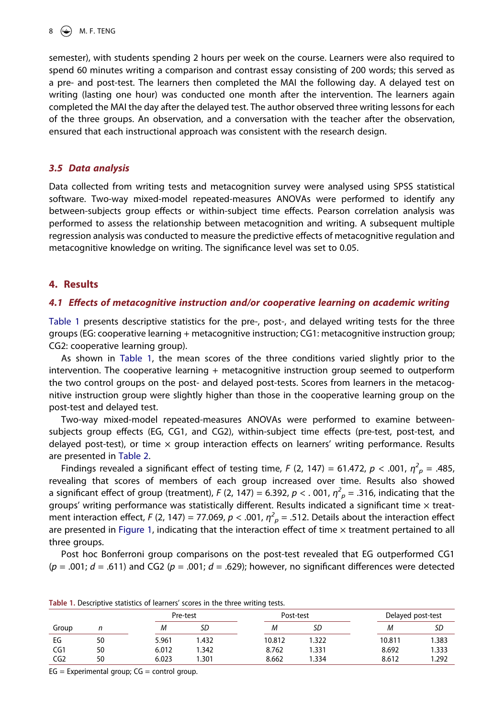semester), with students spending 2 hours per week on the course. Learners were also required to spend 60 minutes writing a comparison and contrast essay consisting of 200 words; this served as a pre- and post-test. The learners then completed the MAI the following day. A delayed test on writing (lasting one hour) was conducted one month after the intervention. The learners again completed the MAI the day after the delayed test. The author observed three writing lessons for each of the three groups. An observation, and a conversation with the teacher after the observation, ensured that each instructional approach was consistent with the research design.

# *3.5 Data analysis*

Data collected from writing tests and metacognition survey were analysed using SPSS statistical software. Two-way mixed-model repeated-measures ANOVAs were performed to identify any between-subjects group effects or within-subject time effects. Pearson correlation analysis was performed to assess the relationship between metacognition and writing. A subsequent multiple regression analysis was conducted to measure the predictive effects of metacognitive regulation and metacognitive knowledge on writing. The significance level was set to 0.05.

# **4. Results**

# *4.1 Effects of metacognitive instruction and/or cooperative learning on academic writing*

[Table 1](#page-8-0) presents descriptive statistics for the pre-, post-, and delayed writing tests for the three groups (EG: cooperative learning + metacognitive instruction; CG1: metacognitive instruction group; CG2: cooperative learning group).

As shown in [Table 1,](#page-8-0) the mean scores of the three conditions varied slightly prior to the intervention. The cooperative learning + metacognitive instruction group seemed to outperform the two control groups on the post- and delayed post-tests. Scores from learners in the metacognitive instruction group were slightly higher than those in the cooperative learning group on the post-test and delayed test.

Two-way mixed-model repeated-measures ANOVAs were performed to examine betweensubjects group effects (EG, CG1, and CG2), within-subject time effects (pre-test, post-test, and delayed post-test), or time  $\times$  group interaction effects on learners' writing performance. Results are presented in [Table 2](#page-9-0).

Findings revealed a significant effect of testing time, *F* (2, 147) = 61.472, *p* < .001,  $\eta^2{}_p$  = .485, revealing that scores of members of each group increased over time. Results also showed a significant effect of group (treatment), *F* (2, 147) = 6.392, *p* < . 001, *η2 <sup>p</sup>*= .316, indicating that the groups' writing performance was statistically different. Results indicated a significant time  $\times$  treatment interaction effect, *F* (2, 147) = 77.069, *p* < .001,  $\eta^2$ <sub>*p*</sub> = .512. Details about the interaction effect are presented in [Figure 1](#page-9-1), indicating that the interaction effect of time  $\times$  treatment pertained to all three groups.

Post hoc Bonferroni group comparisons on the post-test revealed that EG outperformed CG1  $(p = .001; d = .611)$  and CG2  $(p = .001; d = .629)$ ; however, no significant differences were detected

|       |    | Pre-test |      |        | Post-test |        | Delayed post-test |  |
|-------|----|----------|------|--------|-----------|--------|-------------------|--|
| Group |    | М        | SD   | Μ      | SD        | М      | SD                |  |
| EG    | 50 | 5.961    | .432 | 10.812 | .322      | 10.811 | 1.383             |  |
| CG1   | 50 | 6.012    | .342 | 8.762  | .331      | 8.692  | 1.333             |  |
| CG2   | 50 | 6.023    | .301 | 8.662  | .334      | 8.612  | 1.292             |  |

<span id="page-8-0"></span>

| Table 1. Descriptive statistics of learners' scores in the three writing tests. |  |  |  |  |
|---------------------------------------------------------------------------------|--|--|--|--|
|                                                                                 |  |  |  |  |

 $EG = Experimental group; CG = control group.$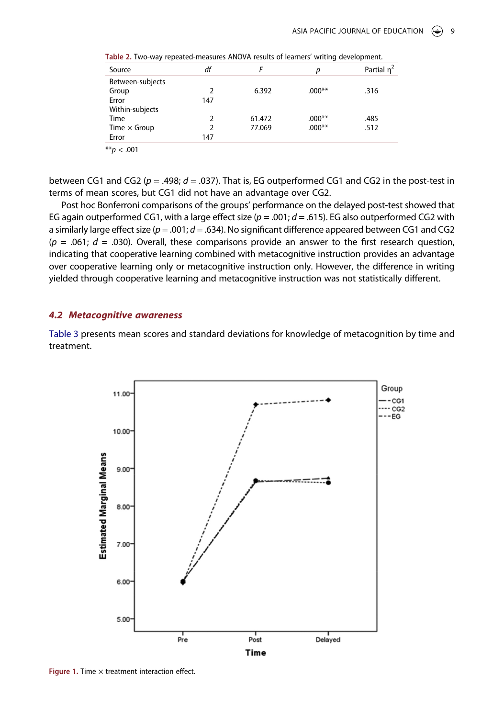| Source              | df  |        | p        | Partial $\eta^2$ |
|---------------------|-----|--------|----------|------------------|
| Between-subjects    |     |        |          |                  |
| Group               |     | 6.392  | $.000**$ | .316             |
| Error               | 147 |        |          |                  |
| Within-subjects     |     |        |          |                  |
| Time                | C.  | 61.472 | $.000**$ | .485             |
| Time $\times$ Group |     | 77.069 | $.000**$ | .512             |
| Error               | 147 |        |          |                  |
|                     |     |        |          |                  |

<span id="page-9-0"></span>**Table 2.** Two-way repeated-measures ANOVA results of learners' writing development.

\*\**p* < .001

between CG1 and CG2 (*p* = .498; *d* = .037). That is, EG outperformed CG1 and CG2 in the post-test in terms of mean scores, but CG1 did not have an advantage over CG2.

Post hoc Bonferroni comparisons of the groups' performance on the delayed post-test showed that EG again outperformed CG1, with a large effect size (*p* = .001; *d* = .615). EG also outperformed CG2 with a similarly large effect size (*p* = .001; *d* = .634). No significant difference appeared between CG1 and CG2  $(p = .061; d = .030)$ . Overall, these comparisons provide an answer to the first research question, indicating that cooperative learning combined with metacognitive instruction provides an advantage over cooperative learning only or metacognitive instruction only. However, the difference in writing yielded through cooperative learning and metacognitive instruction was not statistically different.

#### *4.2 Metacognitive awareness*

[Table 3](#page-10-0) presents mean scores and standard deviations for knowledge of metacognition by time and treatment.

<span id="page-9-1"></span>

**Figure 1.** Time  $\times$  treatment interaction effect.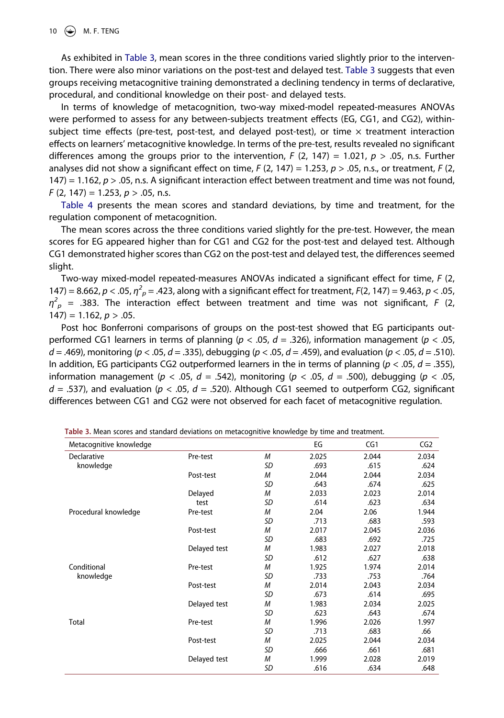10  $\left(\bigoplus$  M. F. TENG

As exhibited in [Table 3](#page-10-0), mean scores in the three conditions varied slightly prior to the intervention. There were also minor variations on the post-test and delayed test. [Table 3](#page-10-0) suggests that even groups receiving metacognitive training demonstrated a declining tendency in terms of declarative, procedural, and conditional knowledge on their post- and delayed tests.

In terms of knowledge of metacognition, two-way mixed-model repeated-measures ANOVAs were performed to assess for any between-subjects treatment effects (EG, CG1, and CG2), withinsubject time effects (pre-test, post-test, and delayed post-test), or time  $\times$  treatment interaction effects on learners' metacognitive knowledge. In terms of the pre-test, results revealed no significant differences among the groups prior to the intervention,  $F(2, 147) = 1.021$ ,  $p > .05$ , n.s. Further analyses did not show a significant effect on time, *F* (2, 147) = 1.253, *p* > .05, n.s., or treatment, *F* (2, 147) = 1.162, *p* > .05, n.s. A significant interaction effect between treatment and time was not found, *F* (2, 147) = 1.253, *p* > .05, n.s.

[Table 4](#page-11-0) presents the mean scores and standard deviations, by time and treatment, for the regulation component of metacognition.

The mean scores across the three conditions varied slightly for the pre-test. However, the mean scores for EG appeared higher than for CG1 and CG2 for the post-test and delayed test. Although CG1 demonstrated higher scores than CG2 on the post-test and delayed test, the differences seemed slight.

Two-way mixed-model repeated-measures ANOVAs indicated a significant effect for time, *F* (2, 147) = 8.662, *p* < .05, *η<sup>2</sup> <sup>p</sup>*= .423, along with a significant effect for treatment, *F*(2, 147) = 9.463, *p* < .05, *η2 <sup>p</sup>*= .383. The interaction effect between treatment and time was not significant, *F* (2,  $147$ ) = 1.162, *p* > .05.

Post hoc Bonferroni comparisons of groups on the post-test showed that EG participants outperformed CG1 learners in terms of planning (*p* < .05, *d* = .326), information management (*p* < .05, *d* = .469), monitoring (*p* < .05, *d* = .335), debugging (*p* < .05, *d* = .459), and evaluation (*p* < .05, *d* = .510). In addition, EG participants CG2 outperformed learners in the in terms of planning (*p* < .05, *d* = .355), information management (*p* < .05, *d* = .542), monitoring (*p* < .05, *d* = .500), debugging (*p* < .05,  $d = .537$ ), and evaluation ( $p < .05$ ,  $d = .520$ ). Although CG1 seemed to outperform CG2, significant differences between CG1 and CG2 were not observed for each facet of metacognitive regulation.

| Metacognitive knowledge |              |           | EG    | CG1   | CG <sub>2</sub> |
|-------------------------|--------------|-----------|-------|-------|-----------------|
| Declarative             | Pre-test     | M         | 2.025 | 2.044 | 2.034           |
| knowledge               |              | <b>SD</b> | .693  | .615  | .624            |
|                         | Post-test    | M         | 2.044 | 2.044 | 2.034           |
|                         |              | SD        | .643  | .674  | .625            |
|                         | Delayed      | M         | 2.033 | 2.023 | 2.014           |
|                         | test         | SD        | .614  | .623  | .634            |
| Procedural knowledge    | Pre-test     | M         | 2.04  | 2.06  | 1.944           |
|                         |              | SD        | .713  | .683  | .593            |
|                         | Post-test    | M         | 2.017 | 2.045 | 2.036           |
|                         |              | SD        | .683  | .692  | .725            |
|                         | Delayed test | M         | 1.983 | 2.027 | 2.018           |
|                         |              | <b>SD</b> | .612  | .627  | .638            |
| Conditional             | Pre-test     | M         | 1.925 | 1.974 | 2.014           |
| knowledge               |              | SD        | .733  | .753  | .764            |
|                         | Post-test    | M         | 2.014 | 2.043 | 2.034           |
|                         |              | SD        | .673  | .614  | .695            |
|                         | Delayed test | M         | 1.983 | 2.034 | 2.025           |
|                         |              | SD        | .623  | .643  | .674            |
| Total                   | Pre-test     | M         | 1.996 | 2.026 | 1.997           |
|                         |              | SD        | .713  | .683  | .66             |
|                         | Post-test    | M         | 2.025 | 2.044 | 2.034           |
|                         |              | SD        | .666  | .661  | .681            |
|                         | Delayed test | M         | 1.999 | 2.028 | 2.019           |
|                         |              | SD        | .616  | .634  | .648            |

<span id="page-10-0"></span>**Table 3.** Mean scores and standard deviations on metacognitive knowledge by time and treatment.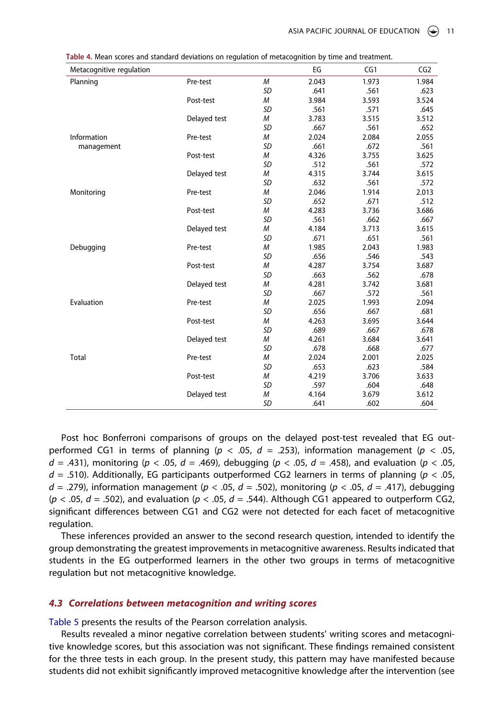| Metacognitive regulation |              |           | EG    | CG1   | CG2   |
|--------------------------|--------------|-----------|-------|-------|-------|
| Planning                 | Pre-test     | M         | 2.043 | 1.973 | 1.984 |
|                          |              | SD        | .641  | .561  | .623  |
|                          | Post-test    | M         | 3.984 | 3.593 | 3.524 |
|                          |              | <b>SD</b> | .561  | .571  | .645  |
|                          | Delayed test | M         | 3.783 | 3.515 | 3.512 |
|                          |              | <b>SD</b> | .667  | .561  | .652  |
| Information              | Pre-test     | M         | 2.024 | 2.084 | 2.055 |
| management               |              | SD        | .661  | .672  | .561  |
|                          | Post-test    | M         | 4.326 | 3.755 | 3.625 |
|                          |              | SD        | .512  | .561  | .572  |
|                          | Delayed test | М         | 4.315 | 3.744 | 3.615 |
|                          |              | <b>SD</b> | .632  | .561  | .572  |
| Monitoring               | Pre-test     | M         | 2.046 | 1.914 | 2.013 |
|                          |              | <b>SD</b> | .652  | .671  | .512  |
|                          | Post-test    | M         | 4.283 | 3.736 | 3.686 |
|                          |              | SD        | .561  | .662  | .667  |
|                          | Delayed test | M         | 4.184 | 3.713 | 3.615 |
|                          |              | <b>SD</b> | .671  | .651  | .561  |
| Debugging                | Pre-test     | M         | 1.985 | 2.043 | 1.983 |
|                          |              | SD        | .656  | .546  | .543  |
|                          | Post-test    | M         | 4.287 | 3.754 | 3.687 |
|                          |              | <b>SD</b> | .663  | .562  | .678  |
|                          | Delayed test | M         | 4.281 | 3.742 | 3.681 |
|                          |              | <b>SD</b> | .667  | .572  | .561  |
| Evaluation               | Pre-test     | M         | 2.025 | 1.993 | 2.094 |
|                          |              | <b>SD</b> | .656  | .667  | .681  |
|                          | Post-test    | M         | 4.263 | 3.695 | 3.644 |
|                          |              | <b>SD</b> | .689  | .667  | .678  |
|                          | Delayed test | M         | 4.261 | 3.684 | 3.641 |
|                          |              | <b>SD</b> | .678  | .668  | .677  |
| Total                    | Pre-test     | M         | 2.024 | 2.001 | 2.025 |
|                          |              | <b>SD</b> | .653  | .623  | .584  |
|                          | Post-test    | M         | 4.219 | 3.706 | 3.633 |
|                          |              | <b>SD</b> | .597  | .604  | .648  |
|                          | Delayed test | М         | 4.164 | 3.679 | 3.612 |
|                          |              | <b>SD</b> | .641  | .602  | .604  |

<span id="page-11-0"></span>**Table 4.** Mean scores and standard deviations on regulation of metacognition by time and treatment.

Post hoc Bonferroni comparisons of groups on the delayed post-test revealed that EG outperformed CG1 in terms of planning ( $p < .05$ ,  $d = .253$ ), information management ( $p < .05$ , *d* = .431), monitoring (*p* < .05, *d* = .469), debugging (*p* < .05, *d* = .458), and evaluation (*p* < .05, *d* = .510). Additionally, EG participants outperformed CG2 learners in terms of planning (*p* < .05, *d* = .279), information management (*p* < .05, *d* = .502), monitoring (*p* < .05, *d* = .417), debugging  $(p < .05, d = .502)$ , and evaluation  $(p < .05, d = .544)$ . Although CG1 appeared to outperform CG2, significant differences between CG1 and CG2 were not detected for each facet of metacognitive regulation.

These inferences provided an answer to the second research question, intended to identify the group demonstrating the greatest improvements in metacognitive awareness. Results indicated that students in the EG outperformed learners in the other two groups in terms of metacognitive regulation but not metacognitive knowledge.

# *4.3 Correlations between metacognition and writing scores*

[Table 5](#page-12-0) presents the results of the Pearson correlation analysis.

Results revealed a minor negative correlation between students' writing scores and metacognitive knowledge scores, but this association was not significant. These findings remained consistent for the three tests in each group. In the present study, this pattern may have manifested because students did not exhibit significantly improved metacognitive knowledge after the intervention (see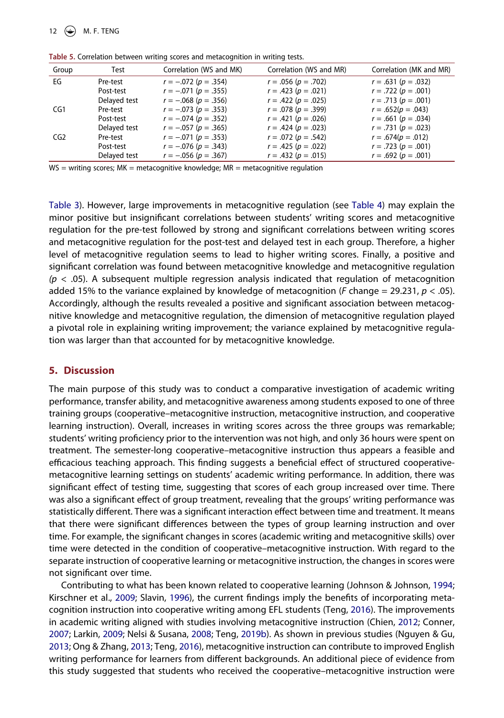| Group | Test         | Correlation (WS and MK)    | Correlation (WS and MR)   | Correlation (MK and MR)   |
|-------|--------------|----------------------------|---------------------------|---------------------------|
| EG    | Pre-test     | $r = -.072$ ( $p = .354$ ) | $r = .056 (p = .702)$     | $r = .631 (p = .032)$     |
|       | Post-test    | $r = -.071 (p = .355)$     | $r = .423$ ( $p = .021$ ) | $r = .722 (p = .001)$     |
|       | Delayed test | $r = -.068 (p = .356)$     | $r = .422 (p = .025)$     | $r = .713 (p = .001)$     |
| CG1   | Pre-test     | $r = -.073$ ( $p = .353$ ) | $r = .078 (p = .399)$     | $r = .652(p = .043)$      |
|       | Post-test    | $r = -.074$ ( $p = .352$ ) | $r = .421 (p = .026)$     | $r = .661 (p = .034)$     |
|       | Delayed test | $r = -.057$ ( $p = .365$ ) | $r = .424$ ( $p = .023$ ) | $r = .731$ ( $p = .023$ ) |
| CG2   | Pre-test     | $r = -.071 (p = .353)$     | $r = .072$ ( $p = .542$ ) | $r = .674(p = .012)$      |
|       | Post-test    | $r = -.076$ ( $p = .343$ ) | $r = .425$ ( $p = .022$ ) | $r = .723$ ( $p = .001$ ) |
|       | Delaved test | $r = -.056 (p = .367)$     | $r = .432 (p = .015)$     | $r = .692 (p = .001)$     |

<span id="page-12-0"></span>**Table 5.** Correlation between writing scores and metacognition in writing tests.

 $WS =$  writing scores;  $MK =$  metacognitive knowledge;  $MR =$  metacognitive regulation

[Table 3\)](#page-10-0). However, large improvements in metacognitive regulation (see [Table 4](#page-11-0)) may explain the minor positive but insignificant correlations between students' writing scores and metacognitive regulation for the pre-test followed by strong and significant correlations between writing scores and metacognitive regulation for the post-test and delayed test in each group. Therefore, a higher level of metacognitive regulation seems to lead to higher writing scores. Finally, a positive and significant correlation was found between metacognitive knowledge and metacognitive regulation *(p* < .05). A subsequent multiple regression analysis indicated that regulation of metacognition added 15% to the variance explained by knowledge of metacognition ( $F$  change = 29.231,  $p < .05$ ). Accordingly, although the results revealed a positive and significant association between metacognitive knowledge and metacognitive regulation, the dimension of metacognitive regulation played a pivotal role in explaining writing improvement; the variance explained by metacognitive regulation was larger than that accounted for by metacognitive knowledge.

# **5. Discussion**

The main purpose of this study was to conduct a comparative investigation of academic writing performance, transfer ability, and metacognitive awareness among students exposed to one of three training groups (cooperative–metacognitive instruction, metacognitive instruction, and cooperative learning instruction). Overall, increases in writing scores across the three groups was remarkable; students' writing proficiency prior to the intervention was not high, and only 36 hours were spent on treatment. The semester-long cooperative–metacognitive instruction thus appears a feasible and efficacious teaching approach. This finding suggests a beneficial effect of structured cooperativemetacognitive learning settings on students' academic writing performance. In addition, there was significant effect of testing time, suggesting that scores of each group increased over time. There was also a significant effect of group treatment, revealing that the groups' writing performance was statistically different. There was a significant interaction effect between time and treatment. It means that there were significant differences between the types of group learning instruction and over time. For example, the significant changes in scores (academic writing and metacognitive skills) over time were detected in the condition of cooperative–metacognitive instruction. With regard to the separate instruction of cooperative learning or metacognitive instruction, the changes in scores were not significant over time.

<span id="page-12-2"></span><span id="page-12-1"></span>Contributing to what has been known related to cooperative learning (Johnson & Johnson, [1994](#page-16-18); Kirschner et al., [2009](#page-16-24); Slavin, [1996](#page-16-20)), the current findings imply the benefits of incorporating metacognition instruction into cooperative writing among EFL students (Teng, [2016\)](#page-17-2). The improvements in academic writing aligned with studies involving metacognitive instruction (Chien, [2012](#page-15-2); Conner, [2007;](#page-15-8) Larkin, [2009](#page-16-16); Nelsi & Susana, [2008;](#page-16-30) Teng, [2019b\)](#page-17-8). As shown in previous studies (Nguyen & Gu, [2013;](#page-16-2) Ong & Zhang, [2013](#page-16-15); Teng, [2016\)](#page-17-2), metacognitive instruction can contribute to improved English writing performance for learners from different backgrounds. An additional piece of evidence from this study suggested that students who received the cooperative–metacognitive instruction were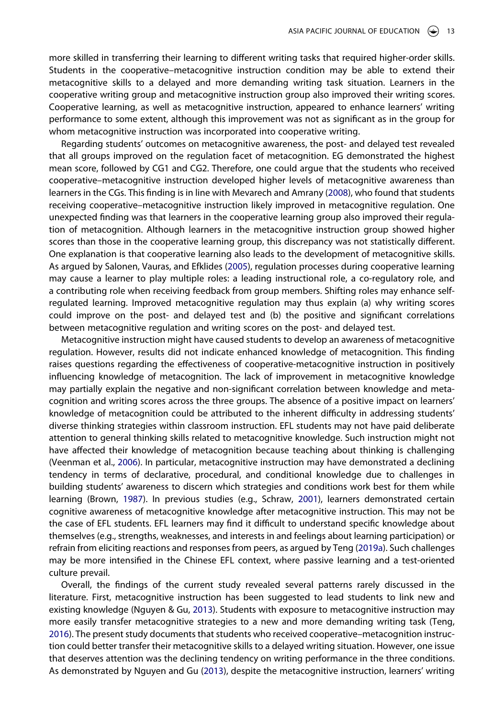more skilled in transferring their learning to different writing tasks that required higher-order skills. Students in the cooperative–metacognitive instruction condition may be able to extend their metacognitive skills to a delayed and more demanding writing task situation. Learners in the cooperative writing group and metacognitive instruction group also improved their writing scores. Cooperative learning, as well as metacognitive instruction, appeared to enhance learners' writing performance to some extent, although this improvement was not as significant as in the group for whom metacognitive instruction was incorporated into cooperative writing.

Regarding students' outcomes on metacognitive awareness, the post- and delayed test revealed that all groups improved on the regulation facet of metacognition. EG demonstrated the highest mean score, followed by CG1 and CG2. Therefore, one could argue that the students who received cooperative–metacognitive instruction developed higher levels of metacognitive awareness than learners in the CGs. This finding is in line with Mevarech and Amrany [\(2008\)](#page-16-11), who found that students receiving cooperative–metacognitive instruction likely improved in metacognitive regulation. One unexpected finding was that learners in the cooperative learning group also improved their regulation of metacognition. Although learners in the metacognitive instruction group showed higher scores than those in the cooperative learning group, this discrepancy was not statistically different. One explanation is that cooperative learning also leads to the development of metacognitive skills. As argued by Salonen, Vauras, and Efklides ([2005](#page-16-31)), regulation processes during cooperative learning may cause a learner to play multiple roles: a leading instructional role, a co-regulatory role, and a contributing role when receiving feedback from group members. Shifting roles may enhance selfregulated learning. Improved metacognitive regulation may thus explain (a) why writing scores could improve on the post- and delayed test and (b) the positive and significant correlations between metacognitive regulation and writing scores on the post- and delayed test.

<span id="page-13-1"></span>Metacognitive instruction might have caused students to develop an awareness of metacognitive regulation. However, results did not indicate enhanced knowledge of metacognition. This finding raises questions regarding the effectiveness of cooperative-metacognitive instruction in positively influencing knowledge of metacognition. The lack of improvement in metacognitive knowledge may partially explain the negative and non-significant correlation between knowledge and metacognition and writing scores across the three groups. The absence of a positive impact on learners' knowledge of metacognition could be attributed to the inherent difficulty in addressing students' diverse thinking strategies within classroom instruction. EFL students may not have paid deliberate attention to general thinking skills related to metacognitive knowledge. Such instruction might not have affected their knowledge of metacognition because teaching about thinking is challenging (Veenman et al., [2006\)](#page-17-6). In particular, metacognitive instruction may have demonstrated a declining tendency in terms of declarative, procedural, and conditional knowledge due to challenges in building students' awareness to discern which strategies and conditions work best for them while learning (Brown, [1987\)](#page-15-9). In previous studies (e.g., Schraw, [2001](#page-16-32)), learners demonstrated certain cognitive awareness of metacognitive knowledge after metacognitive instruction. This may not be the case of EFL students. EFL learners may find it difficult to understand specific knowledge about themselves (e.g., strengths, weaknesses, and interests in and feelings about learning participation) or refrain from eliciting reactions and responses from peers, as argued by Teng ([2019a\)](#page-17-10). Such challenges may be more intensified in the Chinese EFL context, where passive learning and a test-oriented culture prevail.

<span id="page-13-0"></span>Overall, the findings of the current study revealed several patterns rarely discussed in the literature. First, metacognitive instruction has been suggested to lead students to link new and existing knowledge (Nguyen & Gu, [2013](#page-16-2)). Students with exposure to metacognitive instruction may more easily transfer metacognitive strategies to a new and more demanding writing task (Teng, [2016\)](#page-17-2). The present study documents that students who received cooperative–metacognition instruction could better transfer their metacognitive skills to a delayed writing situation. However, one issue that deserves attention was the declining tendency on writing performance in the three conditions. As demonstrated by Nguyen and Gu [\(2013\)](#page-16-2), despite the metacognitive instruction, learners' writing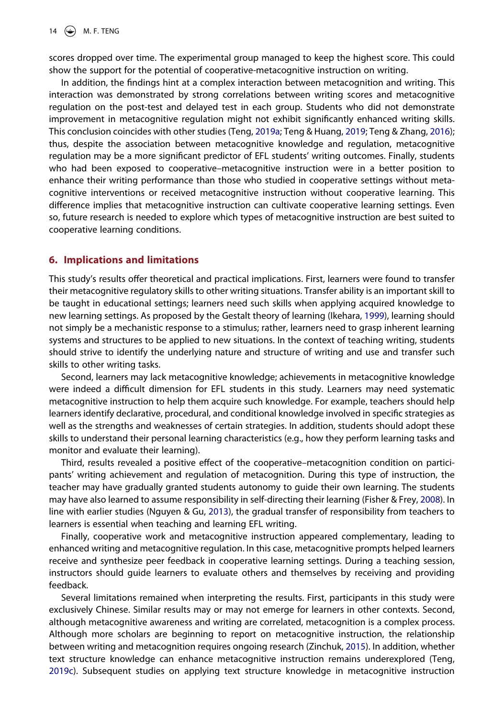scores dropped over time. The experimental group managed to keep the highest score. This could show the support for the potential of cooperative-metacognitive instruction on writing.

<span id="page-14-3"></span>In addition, the findings hint at a complex interaction between metacognition and writing. This interaction was demonstrated by strong correlations between writing scores and metacognitive regulation on the post-test and delayed test in each group. Students who did not demonstrate improvement in metacognitive regulation might not exhibit significantly enhanced writing skills. This conclusion coincides with other studies (Teng, [2019a](#page-17-10); Teng & Huang, [2019;](#page-17-11) Teng & Zhang, [2016\)](#page-17-12); thus, despite the association between metacognitive knowledge and regulation, metacognitive regulation may be a more significant predictor of EFL students' writing outcomes. Finally, students who had been exposed to cooperative–metacognitive instruction were in a better position to enhance their writing performance than those who studied in cooperative settings without metacognitive interventions or received metacognitive instruction without cooperative learning. This difference implies that metacognitive instruction can cultivate cooperative learning settings. Even so, future research is needed to explore which types of metacognitive instruction are best suited to cooperative learning conditions.

# **6. Implications and limitations**

<span id="page-14-1"></span>This study's results offer theoretical and practical implications. First, learners were found to transfer their metacognitive regulatory skills to other writing situations. Transfer ability is an important skill to be taught in educational settings; learners need such skills when applying acquired knowledge to new learning settings. As proposed by the Gestalt theory of learning (Ikehara, [1999](#page-16-33)), learning should not simply be a mechanistic response to a stimulus; rather, learners need to grasp inherent learning systems and structures to be applied to new situations. In the context of teaching writing, students should strive to identify the underlying nature and structure of writing and use and transfer such skills to other writing tasks.

Second, learners may lack metacognitive knowledge; achievements in metacognitive knowledge were indeed a difficult dimension for EFL students in this study. Learners may need systematic metacognitive instruction to help them acquire such knowledge. For example, teachers should help learners identify declarative, procedural, and conditional knowledge involved in specific strategies as well as the strengths and weaknesses of certain strategies. In addition, students should adopt these skills to understand their personal learning characteristics (e.g., how they perform learning tasks and monitor and evaluate their learning).

<span id="page-14-0"></span>Third, results revealed a positive effect of the cooperative–metacognition condition on participants' writing achievement and regulation of metacognition. During this type of instruction, the teacher may have gradually granted students autonomy to guide their own learning. The students may have also learned to assume responsibility in self-directing their learning (Fisher & Frey, [2008](#page-15-10)). In line with earlier studies (Nguyen & Gu, [2013\)](#page-16-2), the gradual transfer of responsibility from teachers to learners is essential when teaching and learning EFL writing.

Finally, cooperative work and metacognitive instruction appeared complementary, leading to enhanced writing and metacognitive regulation. In this case, metacognitive prompts helped learners receive and synthesize peer feedback in cooperative learning settings. During a teaching session, instructors should guide learners to evaluate others and themselves by receiving and providing feedback.

<span id="page-14-4"></span><span id="page-14-2"></span>Several limitations remained when interpreting the results. First, participants in this study were exclusively Chinese. Similar results may or may not emerge for learners in other contexts. Second, although metacognitive awareness and writing are correlated, metacognition is a complex process. Although more scholars are beginning to report on metacognitive instruction, the relationship between writing and metacognition requires ongoing research (Zinchuk, [2015](#page-17-13)). In addition, whether text structure knowledge can enhance metacognitive instruction remains underexplored (Teng, [2019c\)](#page-17-14). Subsequent studies on applying text structure knowledge in metacognitive instruction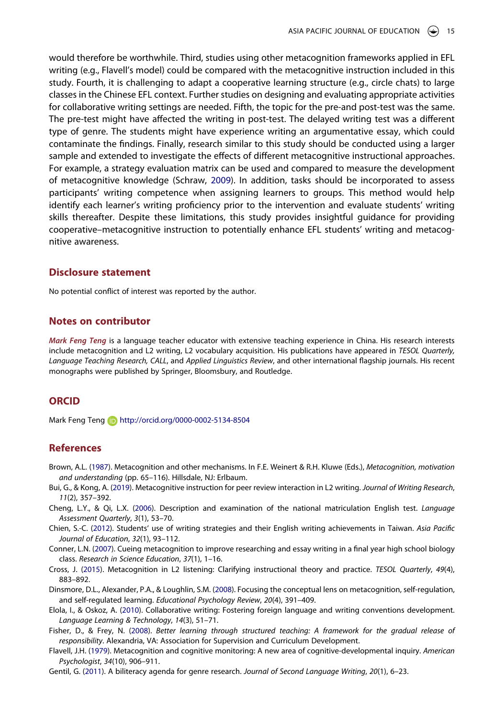would therefore be worthwhile. Third, studies using other metacognition frameworks applied in EFL writing (e.g., Flavell's model) could be compared with the metacognitive instruction included in this study. Fourth, it is challenging to adapt a cooperative learning structure (e.g., circle chats) to large classes in the Chinese EFL context. Further studies on designing and evaluating appropriate activities for collaborative writing settings are needed. Fifth, the topic for the pre-and post-test was the same. The pre-test might have affected the writing in post-test. The delayed writing test was a different type of genre. The students might have experience writing an argumentative essay, which could contaminate the findings. Finally, research similar to this study should be conducted using a larger sample and extended to investigate the effects of different metacognitive instructional approaches. For example, a strategy evaluation matrix can be used and compared to measure the development of metacognitive knowledge (Schraw, [2009\)](#page-16-7). In addition, tasks should be incorporated to assess participants' writing competence when assigning learners to groups. This method would help identify each learner's writing proficiency prior to the intervention and evaluate students' writing skills thereafter. Despite these limitations, this study provides insightful guidance for providing cooperative–metacognitive instruction to potentially enhance EFL students' writing and metacognitive awareness.

# **Disclosure statement**

No potential conflict of interest was reported by the author.

# **Notes on contributor**

*Mark Feng Teng* is a language teacher educator with extensive teaching experience in China. His research interests include metacognition and L2 writing, L2 vocabulary acquisition. His publications have appeared in *TESOL Quarterly, Language Teaching Research, CALL*, and *Applied Linguistics Review*, and other international flagship journals. His recent monographs were published by Springer, Bloomsbury, and Routledge.

# **ORCID**

Mark Feng Teng http://orcid.org/0000-0002-5134-8504

# **References**

- <span id="page-15-9"></span>Brown, A.L. ([1987\)](#page-13-0). Metacognition and other mechanisms. In F.E. Weinert & R.H. Kluwe (Eds.), *Metacognition, motivation and understanding* (pp. 65–116). Hillsdale, NJ: Erlbaum.
- <span id="page-15-5"></span>Bui, G., & Kong, A. [\(2019\)](#page-3-0). Metacognitive instruction for peer review interaction in L2 writing. *Journal of Writing Research*, *11*(2), 357–392.
- <span id="page-15-7"></span>Cheng, L.Y., & Qi, L.X. [\(2006](#page-5-0)). Description and examination of the national matriculation English test. *Language Assessment Quarterly*, *3*(1), 53–70.
- <span id="page-15-2"></span>Chien, S.-C. [\(2012\)](#page-2-0). Students' use of writing strategies and their English writing achievements in Taiwan. *Asia Pacific Journal of Education*, *32*(1), 93–112.
- <span id="page-15-8"></span>Conner, L.N. ([2007](#page-12-1)). Cueing metacognition to improve researching and essay writing in a final year high school biology class. *Research in Science Education*, *37*(1), 1–16.
- <span id="page-15-4"></span>Cross, J. ([2015](#page-3-1)). Metacognition in L2 listening: Clarifying instructional theory and practice. *TESOL Quarterly*, *49*(4), 883–892.
- <span id="page-15-3"></span>Dinsmore, D.L., Alexander, P.A., & Loughlin, S.M. [\(2008\)](#page-3-2). Focusing the conceptual lens on metacognition, self-regulation, and self-regulated learning. *Educational Psychology Review*, *20*(4), 391–409.
- <span id="page-15-6"></span>Elola, I., & Oskoz, A. ([2010](#page-4-0)). Collaborative writing: Fostering foreign language and writing conventions development. *Language Learning & Technology*, *14*(3), 51–71.
- <span id="page-15-10"></span>Fisher, D., & Frey, N. ([2008\)](#page-14-0). *Better learning through structured teaching: A framework for the gradual release of responsibility*. Alexandria, VA: Association for Supervision and Curriculum Development.
- <span id="page-15-1"></span>Flavell, J.H. ([1979](#page-2-1)). Metacognition and cognitive monitoring: A new area of cognitive-developmental inquiry. *American Psychologist*, *34*(10), 906–911.

<span id="page-15-0"></span>Gentil, G. [\(2011\)](#page-1-0). A biliteracy agenda for genre research. *Journal of Second Language Writing*, *20*(1), 6–23.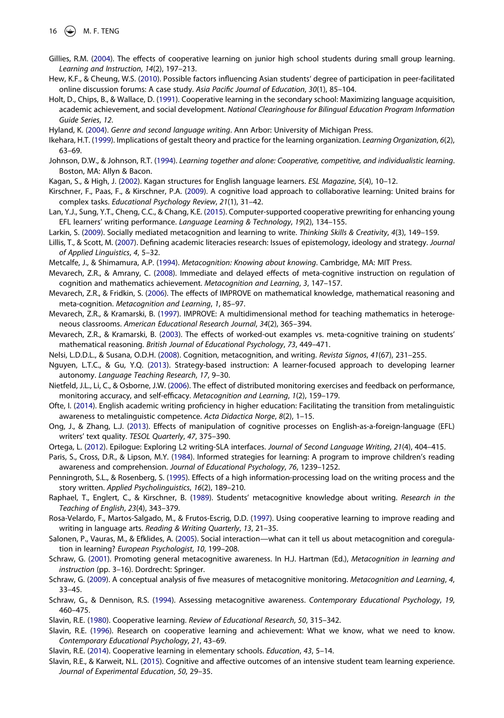16  $\left(\bigstar\right)$  M. F. TENG

- <span id="page-16-23"></span>Gillies, R.M. ([2004](#page-4-1)). The effects of cooperative learning on junior high school students during small group learning. *Learning and Instruction*, *14*(2), 197–213.
- <span id="page-16-5"></span>Hew, K.F., & Cheung, W.S. ([2010\)](#page-1-1). Possible factors influencing Asian students' degree of participation in peer-facilitated online discussion forums: A case study. *Asia Pacific Journal of Education*, *30*(1), 85–104.
- <span id="page-16-22"></span>Holt, D., Chips, B., & Wallace, D. ([1991\)](#page-4-2). Cooperative learning in the secondary school: Maximizing language acquisition, academic achievement, and social development. *National Clearinghouse for Bilingual Education Program Information Guide Series*, *12*.

<span id="page-16-0"></span>Hyland, K. [\(2004\)](#page-1-2). *Genre and second language writing*. Ann Arbor: University of Michigan Press.

- <span id="page-16-33"></span>Ikehara, H.T. [\(1999\)](#page-14-1). Implications of gestalt theory and practice for the learning organization. *Learning Organization*, *6*(2), 63–69.
- <span id="page-16-18"></span>Johnson, D.W., & Johnson, R.T. [\(1994\)](#page-3-3). *Learning together and alone: Cooperative, competitive, and individualistic learning*. Boston, MA: Allyn & Bacon.
- <span id="page-16-26"></span>Kagan, S., & High, J. [\(2002\)](#page-4-3). Kagan structures for English language learners. *ESL Magazine*, *5*(4), 10–12.
- <span id="page-16-24"></span>Kirschner, F., Paas, F., & Kirschner, P.A. [\(2009\)](#page-4-1). A cognitive load approach to collaborative learning: United brains for complex tasks. *Educational Psychology Review*, *21*(1), 31–42.
- <span id="page-16-25"></span>Lan, Y.J., Sung, Y.T., Cheng, C.C., & Chang, K.E. [\(2015](#page-4-4)). Computer-supported cooperative prewriting for enhancing young EFL learners' writing performance. *Language Learning & Technology*, *19*(2), 134–155.
- <span id="page-16-16"></span>Larkin, S. [\(2009\)](#page-3-4). Socially mediated metacognition and learning to write. *Thinking Skills & Creativity*, *4*(3), 149–159.
- <span id="page-16-1"></span>Lillis, T., & Scott, M. ([2007](#page-1-3)). Defining academic literacies research: Issues of epistemology, ideology and strategy. *Journal of Applied Linguistics*, *4*, 5–32.
- <span id="page-16-9"></span>Metcalfe, J., & Shimamura, A.P. [\(1994\)](#page-2-2). *Metacognition: Knowing about knowing*. Cambridge, MA: MIT Press.
- <span id="page-16-11"></span>Mevarech, Z.R., & Amrany, C. ([2008](#page-2-3)). Immediate and delayed effects of meta-cognitive instruction on regulation of cognition and mathematics achievement. *Metacognition and Learning*, *3*, 147–157.
- <span id="page-16-12"></span>Mevarech, Z.R., & Fridkin, S. ([2006](#page-3-5)). The effects of IMPROVE on mathematical knowledge, mathematical reasoning and meta-cognition. *Metacognition and Learning*, *1*, 85–97.
- <span id="page-16-27"></span>Mevarech, Z.R., & Kramarski, B. ([1997](#page-4-5)). IMPROVE: A multidimensional method for teaching mathematics in heterogeneous classrooms. *American Educational Research Journal*, *34*(2), 365–394.
- <span id="page-16-17"></span>Mevarech, Z.R., & Kramarski, B. [\(2003\)](#page-3-6). The effects of worked-out examples vs. meta-cognitive training on students' mathematical reasoning. *British Journal of Educational Psychology*, *73*, 449–471.
- <span id="page-16-30"></span>Nelsi, L.D.D.L., & Susana, O.D.H. ([2008](#page-12-2)). Cognition, metacognition, and writing. *Revista Signos*, *41*(67), 231–255.
- <span id="page-16-2"></span>Nguyen, L.T.C., & Gu, Y.Q. ([2013](#page-1-4)). Strategy-based instruction: A learner-focused approach to developing learner autonomy. *Language Teaching Research*, *17*, 9–30.
- <span id="page-16-10"></span>Nietfeld, J.L., Li, C., & Osborne, J.W. ([2006\)](#page-2-4). The effect of distributed monitoring exercises and feedback on performance, monitoring accuracy, and self-efficacy. *Metacognition and Learning*, *1*(2), 159–179.
- <span id="page-16-14"></span>Ofte, I. [\(2014\)](#page-3-7). English academic writing proficiency in higher education: Facilitating the transition from metalinguistic awareness to metalinguistic competence. *Acta Didactica Norge*, *8*(2), 1–15.
- <span id="page-16-15"></span>Ong, J., & Zhang, L.J. ([2013](#page-3-8)). Effects of manipulation of cognitive processes on English-as-a-foreign-language (EFL) writers' text quality. *TESOL Quarterly*, *47*, 375–390.
- <span id="page-16-6"></span>Ortega, L. ([2012](#page-2-5)). Epilogue: Exploring L2 writing-SLA interfaces. *Journal of Second Language Writing*, *21*(4), 404–415.
- <span id="page-16-28"></span>Paris, S., Cross, D.R., & Lipson, M.Y. [\(1984](#page-6-0)). Informed strategies for learning: A program to improve children's reading awareness and comprehension. *Journal of Educational Psychology*, *76*, 1239–1252.
- <span id="page-16-13"></span>Penningroth, S.L., & Rosenberg, S. [\(1995\)](#page-3-9). Effects of a high information-processing load on the writing process and the story written. *Applied Psycholinguistics*, *16*(2), 189–210.
- <span id="page-16-29"></span>Raphael, T., Englert, C., & Kirschner, B. [\(1989\)](#page-6-1). Students' metacognitive knowledge about writing. *Research in the Teaching of English*, *23*(4), 343–379.
- <span id="page-16-3"></span>Rosa-Velardo, F., Martos-Salgado, M., & Frutos-Escrig, D.D. ([1997](#page-1-5)). Using cooperative learning to improve reading and writing in language arts. *Reading & Writing Quarterly*, *13*, 21–35.
- <span id="page-16-31"></span>Salonen, P., Vauras, M., & Efklides, A. [\(2005\)](#page-13-1). Social interaction—what can it tell us about metacognition and coregulation in learning? *European Psychologist*, *10*, 199–208.
- <span id="page-16-32"></span>Schraw, G. ([2001](#page-13-0)). Promoting general metacognitive awareness. In H.J. Hartman (Ed.), *Metacognition in learning and instruction* (pp. 3–16). Dordrecht: Springer.
- <span id="page-16-7"></span>Schraw, G. [\(2009\)](#page-2-6). A conceptual analysis of five measures of metacognitive monitoring. *Metacognition and Learning*, *4*, 33–45.
- <span id="page-16-8"></span>Schraw, G., & Dennison, R.S. ([1994](#page-2-7)). Assessing metacognitive awareness. *Contemporary Educational Psychology*, *19*, 460–475.
- <span id="page-16-19"></span>Slavin, R.E. ([1980](#page-4-6)). Cooperative learning. *Review of Educational Research*, *50*, 315–342.
- <span id="page-16-20"></span>Slavin, R.E. ([1996](#page-4-7)). Research on cooperative learning and achievement: What we know, what we need to know. *Contemporary Educational Psychology*, *21*, 43–69.
- <span id="page-16-21"></span>Slavin, R.E. ([2014](#page-4-8)). Cooperative learning in elementary schools. *Education*, *43*, 5–14.
- <span id="page-16-4"></span>Slavin, R.E., & Karweit, N.L. ([2015](#page-1-6)). Cognitive and affective outcomes of an intensive student team learning experience. *Journal of Experimental Education*, *50*, 29–35.